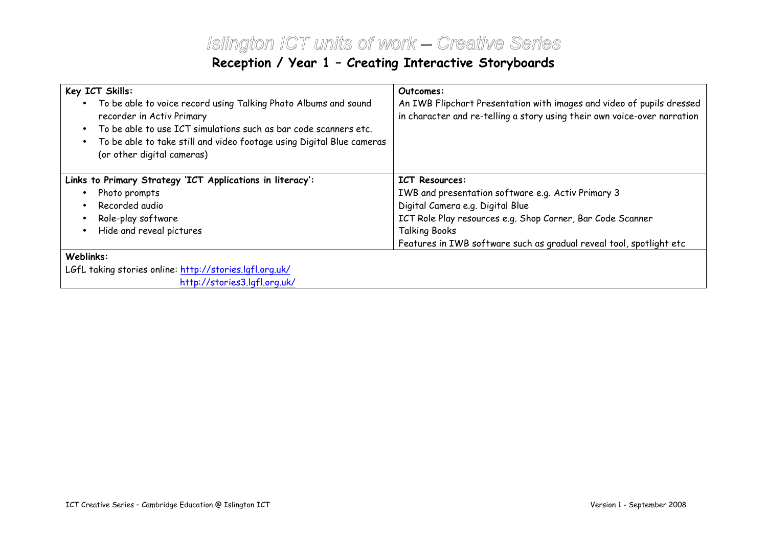## Islington ICT units of work – Creative SeriesReception / Year 1 – Creating Interactive Storyboards

| Key ICT Skills:<br>To be able to voice record using Talking Photo Albums and sound<br>recorder in Activ Primary<br>To be able to use ICT simulations such as bar code scanners etc.<br>To be able to take still and video footage using Digital Blue cameras<br>(or other digital cameras) | Outcomes:<br>An IWB Flipchart Presentation with images and video of pupils dressed<br>in character and re-telling a story using their own voice-over narration |  |  |  |  |
|--------------------------------------------------------------------------------------------------------------------------------------------------------------------------------------------------------------------------------------------------------------------------------------------|----------------------------------------------------------------------------------------------------------------------------------------------------------------|--|--|--|--|
| Links to Primary Strategy 'ICT Applications in literacy':                                                                                                                                                                                                                                  | <b>ICT Resources:</b>                                                                                                                                          |  |  |  |  |
| Photo prompts                                                                                                                                                                                                                                                                              | IWB and presentation software e.g. Activ Primary 3                                                                                                             |  |  |  |  |
| Recorded audio                                                                                                                                                                                                                                                                             | Digital Camera e.g. Digital Blue                                                                                                                               |  |  |  |  |
| Role-play software                                                                                                                                                                                                                                                                         | ICT Role Play resources e.g. Shop Corner, Bar Code Scanner                                                                                                     |  |  |  |  |
| Hide and reveal pictures                                                                                                                                                                                                                                                                   | <b>Talking Books</b>                                                                                                                                           |  |  |  |  |
|                                                                                                                                                                                                                                                                                            | Features in IWB software such as gradual reveal tool, spotlight etc                                                                                            |  |  |  |  |
| Weblinks:                                                                                                                                                                                                                                                                                  |                                                                                                                                                                |  |  |  |  |
| LGfL taking stories online: <u>http://stories.lgfl.org.uk/</u>                                                                                                                                                                                                                             |                                                                                                                                                                |  |  |  |  |
| http://stories3.lgfl.org.uk/                                                                                                                                                                                                                                                               |                                                                                                                                                                |  |  |  |  |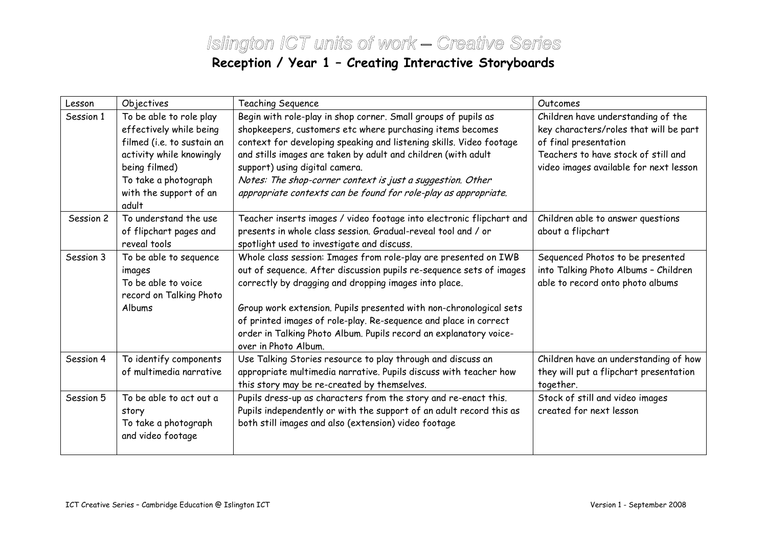## Islington ICT units of work – Creative SeriesReception / Year 1 – Creating Interactive Storyboards

| Lesson    | Objectives                                                                                                                                                                               | Teaching Sequence                                                                                                                                                                                                                                                                                                                                                                                                                      | Outcomes                                                                                                                                                                               |
|-----------|------------------------------------------------------------------------------------------------------------------------------------------------------------------------------------------|----------------------------------------------------------------------------------------------------------------------------------------------------------------------------------------------------------------------------------------------------------------------------------------------------------------------------------------------------------------------------------------------------------------------------------------|----------------------------------------------------------------------------------------------------------------------------------------------------------------------------------------|
| Session 1 | To be able to role play<br>effectively while being<br>filmed (i.e. to sustain an<br>activity while knowingly<br>being filmed)<br>To take a photograph<br>with the support of an<br>adult | Begin with role-play in shop corner. Small groups of pupils as<br>shopkeepers, customers etc where purchasing items becomes<br>context for developing speaking and listening skills. Video footage<br>and stills images are taken by adult and children (with adult<br>support) using digital camera.<br>Notes: The shop-corner context is just a suggestion. Other<br>appropriate contexts can be found for role-play as appropriate. | Children have understanding of the<br>key characters/roles that will be part<br>of final presentation<br>Teachers to have stock of still and<br>video images available for next lesson |
| Session 2 | To understand the use<br>of flipchart pages and<br>reveal tools                                                                                                                          | Teacher inserts images / video footage into electronic flipchart and<br>presents in whole class session. Gradual-reveal tool and / or<br>spotlight used to investigate and discuss.                                                                                                                                                                                                                                                    | Children able to answer questions<br>about a flipchart                                                                                                                                 |
| Session 3 | To be able to sequence<br>images<br>To be able to voice<br>record on Talking Photo<br>Albums                                                                                             | Whole class session: Images from role-play are presented on IWB<br>out of sequence. After discussion pupils re-sequence sets of images<br>correctly by dragging and dropping images into place.<br>Group work extension. Pupils presented with non-chronological sets<br>of printed images of role-play. Re-sequence and place in correct<br>order in Talking Photo Album. Pupils record an explanatory voice-<br>over in Photo Album. | Sequenced Photos to be presented<br>into Talking Photo Albums - Children<br>able to record onto photo albums                                                                           |
| Session 4 | To identify components<br>of multimedia narrative                                                                                                                                        | Use Talking Stories resource to play through and discuss an<br>appropriate multimedia narrative. Pupils discuss with teacher how<br>this story may be re-created by themselves.                                                                                                                                                                                                                                                        | Children have an understanding of how<br>they will put a flipchart presentation<br>together.                                                                                           |
| Session 5 | To be able to act out a<br>story<br>To take a photograph<br>and video footage                                                                                                            | Pupils dress-up as characters from the story and re-enact this.<br>Pupils independently or with the support of an adult record this as<br>both still images and also (extension) video footage                                                                                                                                                                                                                                         | Stock of still and video images<br>created for next lesson                                                                                                                             |